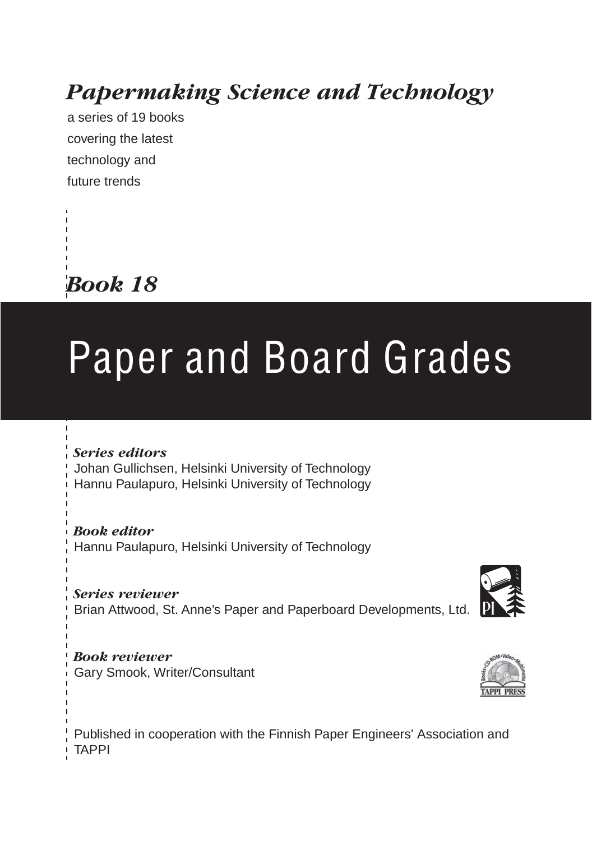### *Papermaking Science and Technology*

a series of 19 books covering the latest technology and future trends



### Paper and Board Grades

#### *Series editors*

Johan Gullichsen, Helsinki University of Technology Hannu Paulapuro, Helsinki University of Technology

*Book editor* Hannu Paulapuro, Helsinki University of Technology

*Series reviewer* Brian Attwood, St. Anne's Paper and Paperboard Developments, Ltd.



Published in cooperation with the Finnish Paper Engineers' Association and TAPPI



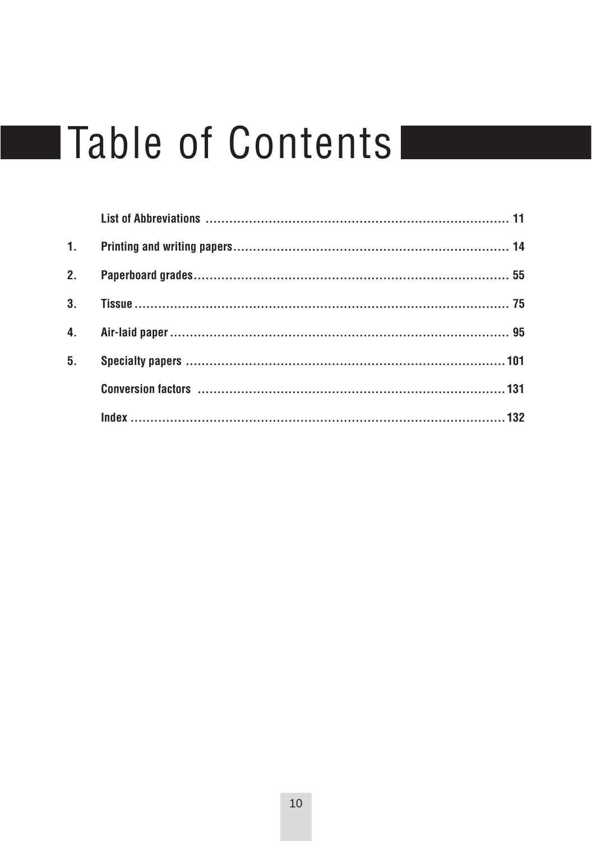### **Table of Contents**

| Conversion factors (1997) 31 |  |
|------------------------------|--|
|                              |  |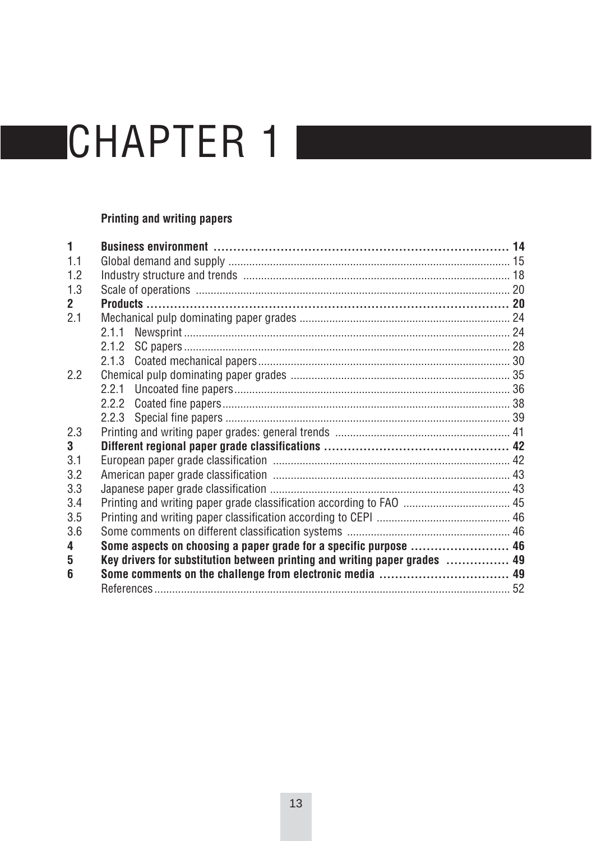#### **Printing and writing papers**

| 1            |                                                                            |  |  |  |
|--------------|----------------------------------------------------------------------------|--|--|--|
| 1.1          |                                                                            |  |  |  |
| 12           |                                                                            |  |  |  |
| 1.3          |                                                                            |  |  |  |
| $\mathbf{2}$ |                                                                            |  |  |  |
| 2.1          |                                                                            |  |  |  |
|              |                                                                            |  |  |  |
|              |                                                                            |  |  |  |
|              |                                                                            |  |  |  |
| 2.2          |                                                                            |  |  |  |
|              |                                                                            |  |  |  |
|              |                                                                            |  |  |  |
|              |                                                                            |  |  |  |
| 2.3          |                                                                            |  |  |  |
| 3            |                                                                            |  |  |  |
| 3.1          |                                                                            |  |  |  |
| 3.2          |                                                                            |  |  |  |
| 3.3          |                                                                            |  |  |  |
| 3.4          |                                                                            |  |  |  |
| 3.5          |                                                                            |  |  |  |
| 3.6          |                                                                            |  |  |  |
| 4            | Some aspects on choosing a paper grade for a specific purpose  46          |  |  |  |
| 5            | Key drivers for substitution between printing and writing paper grades  49 |  |  |  |
| 6            |                                                                            |  |  |  |
|              |                                                                            |  |  |  |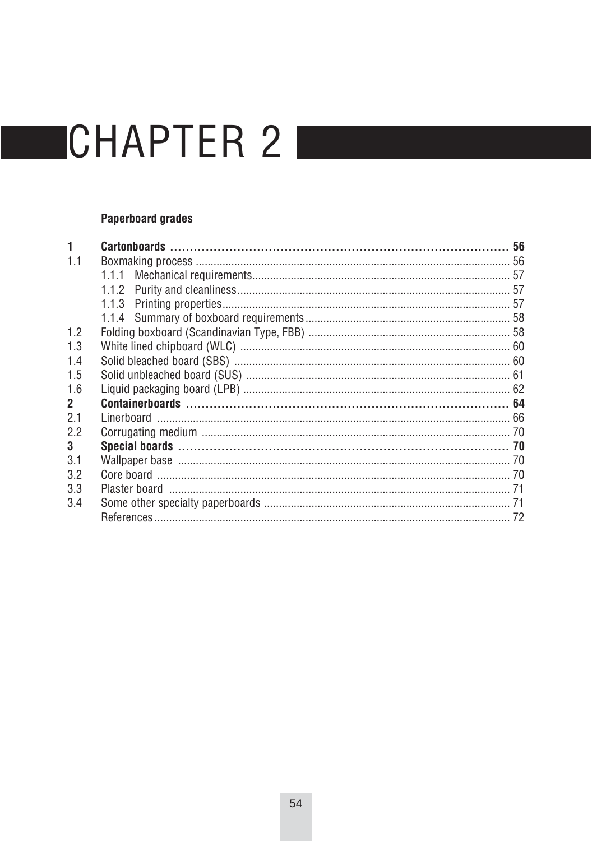### **Paperboard grades**

|              |       | 56 |  |
|--------------|-------|----|--|
| 1.1          |       |    |  |
|              | 1.1.1 |    |  |
|              |       |    |  |
|              |       |    |  |
|              |       |    |  |
| 1.2          |       |    |  |
| 1.3          |       |    |  |
| 1.4          |       |    |  |
| 1.5          |       |    |  |
| 1.6          |       |    |  |
| $\mathbf{2}$ |       |    |  |
| 2.1          |       |    |  |
| 2.2          |       |    |  |
| 3            |       |    |  |
| 3.1          |       |    |  |
| 3.2          |       |    |  |
| 3.3          |       |    |  |
| 3.4          |       |    |  |
|              |       |    |  |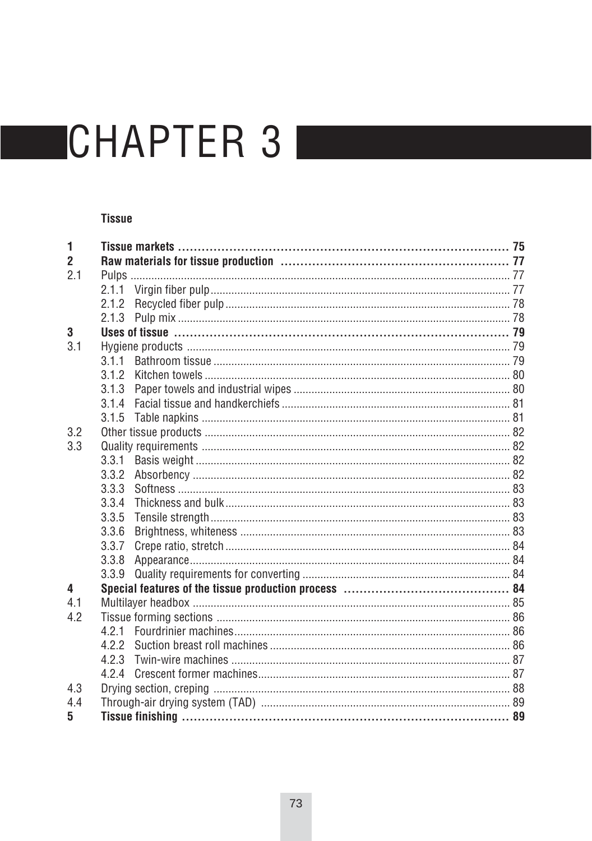#### **Tissue**

| 1   |       |  |  |
|-----|-------|--|--|
| 2   |       |  |  |
| 2.1 |       |  |  |
|     |       |  |  |
|     |       |  |  |
|     |       |  |  |
| 3   |       |  |  |
| 3.1 |       |  |  |
|     | 3.1.1 |  |  |
|     | 312   |  |  |
|     | 3.1.3 |  |  |
|     | 3.1.4 |  |  |
|     | 3.1.5 |  |  |
| 3.2 |       |  |  |
| 3.3 |       |  |  |
|     | 3.3.1 |  |  |
|     | 3.3.2 |  |  |
|     | 3.3.3 |  |  |
|     | 3.3.4 |  |  |
|     | 3.3.5 |  |  |
|     | 3.3.6 |  |  |
|     | 3.3.7 |  |  |
|     | 3.3.8 |  |  |
|     |       |  |  |
| 4   |       |  |  |
| 4.1 |       |  |  |
| 4.2 |       |  |  |
|     | 421   |  |  |
|     |       |  |  |
|     |       |  |  |
|     | 4.2.4 |  |  |
| 4.3 |       |  |  |
| 4.4 |       |  |  |
| 5   |       |  |  |
|     |       |  |  |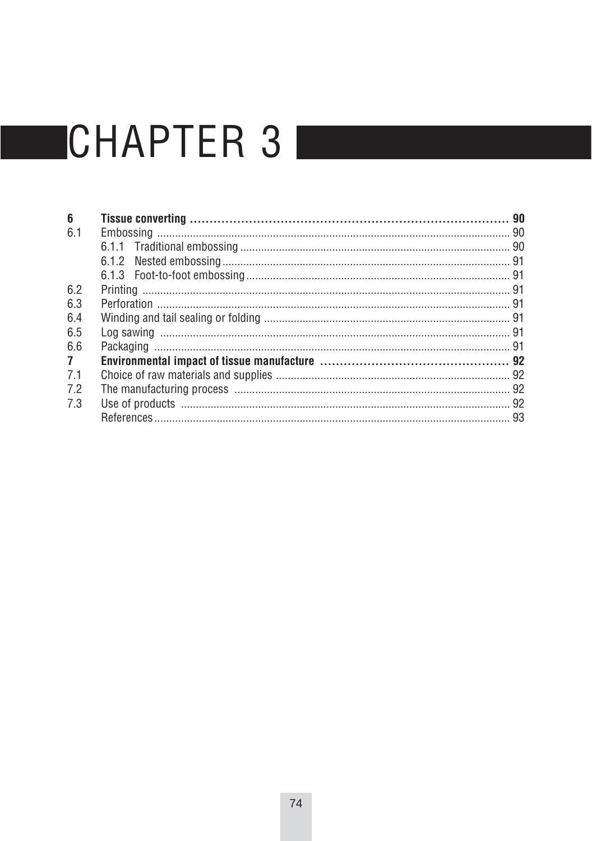| 6              |  |  |  |
|----------------|--|--|--|
| 6.1            |  |  |  |
|                |  |  |  |
|                |  |  |  |
|                |  |  |  |
| 6.2            |  |  |  |
| 6.3            |  |  |  |
| 6.4            |  |  |  |
| 6.5            |  |  |  |
| 6.6            |  |  |  |
| 7 <sup>7</sup> |  |  |  |
| 7.1            |  |  |  |
| 7.2            |  |  |  |
| 7.3            |  |  |  |
|                |  |  |  |
|                |  |  |  |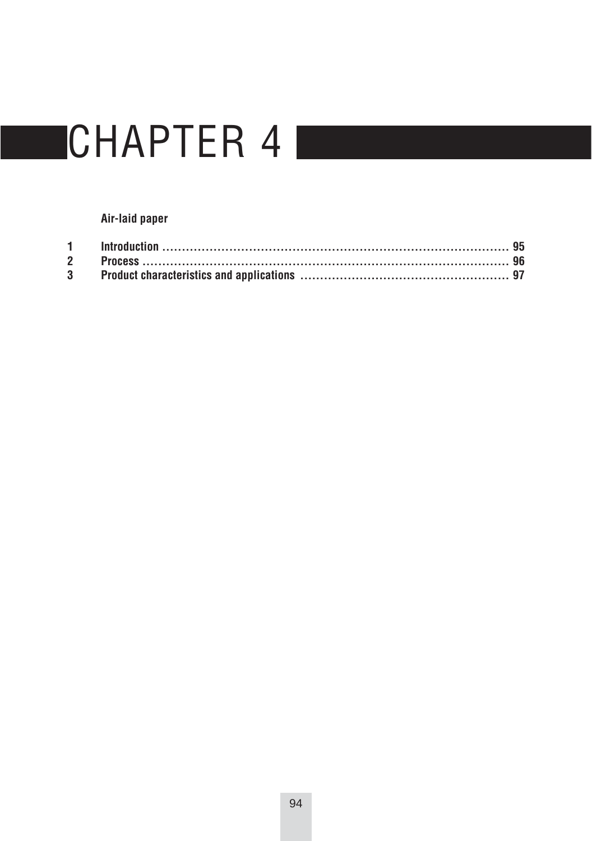#### Air-laid paper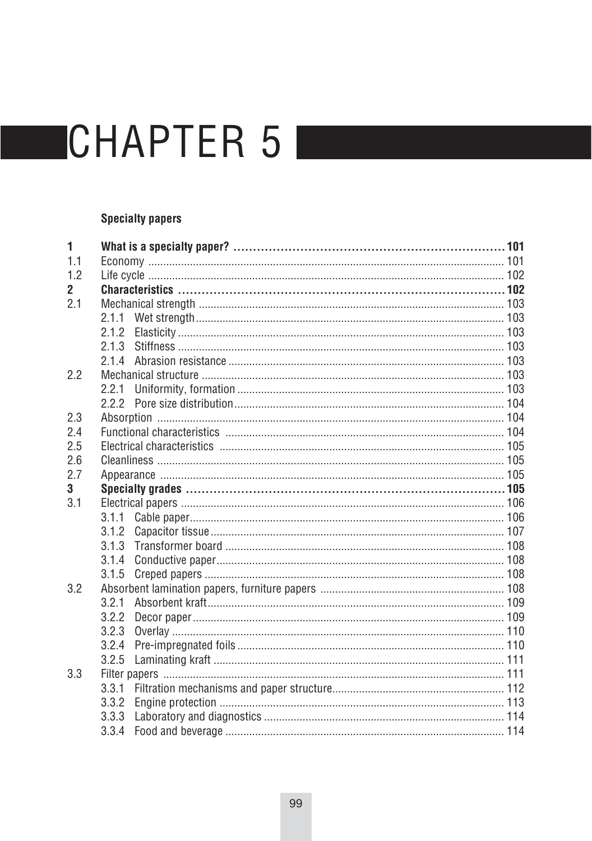#### **Specialty papers**

| 1            |       |  |  |  |
|--------------|-------|--|--|--|
| 11           |       |  |  |  |
| 1.2          |       |  |  |  |
| $\mathbf{2}$ |       |  |  |  |
| 2.1          |       |  |  |  |
|              |       |  |  |  |
|              | 2.1.2 |  |  |  |
|              | 2.1.3 |  |  |  |
|              | 2.1.4 |  |  |  |
| 2.2          |       |  |  |  |
|              | 2.2.1 |  |  |  |
|              |       |  |  |  |
| 2.3          |       |  |  |  |
| 2.4          |       |  |  |  |
| 2.5          |       |  |  |  |
| 2.6          |       |  |  |  |
| 2.7          |       |  |  |  |
| 3            |       |  |  |  |
| 3.1          |       |  |  |  |
|              |       |  |  |  |
|              | 3.1.2 |  |  |  |
|              | 3.1.3 |  |  |  |
|              | 3.1.4 |  |  |  |
|              | 3.1.5 |  |  |  |
| 3.2          |       |  |  |  |
|              | 3.2.1 |  |  |  |
|              | 3.2.2 |  |  |  |
|              | 3.2.3 |  |  |  |
|              | 3.2.4 |  |  |  |
|              | 3.2.5 |  |  |  |
| 3.3          |       |  |  |  |
|              | 3.3.1 |  |  |  |
|              | 3.3.2 |  |  |  |
|              |       |  |  |  |
|              |       |  |  |  |